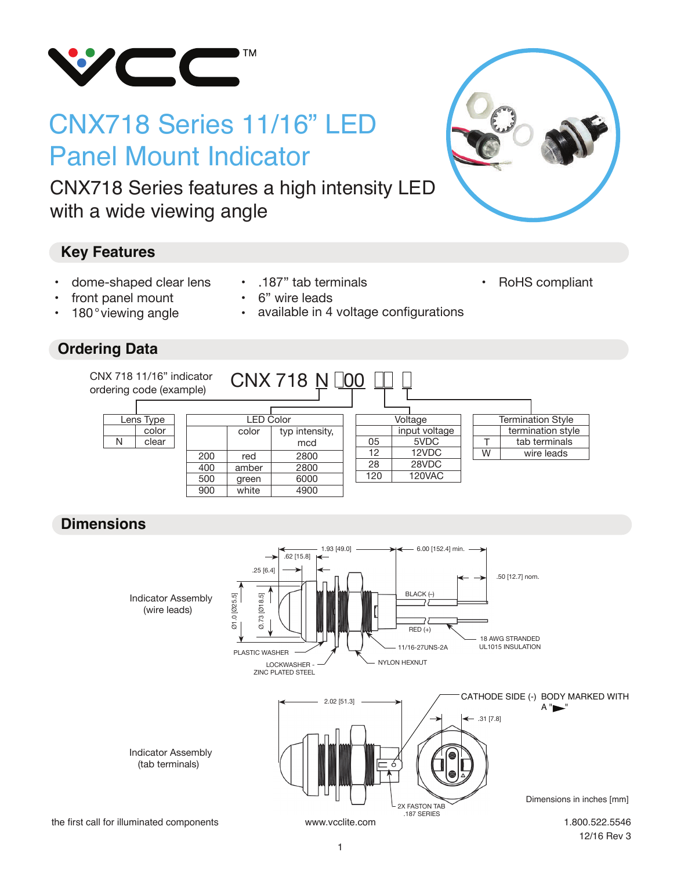

# CNX718 Series 11/16" LED Panel Mount Indicator

CNX718 Series features a high intensity LED with a wide viewing angle

#### **Key Features**

- dome-shaped clear lens
- front panel mount
- 180° viewing angle

#### **Ordering Data**

- .187" tab terminals
- 6" wire leads
- available in 4 voltage configurations



• RoHS compliant

1